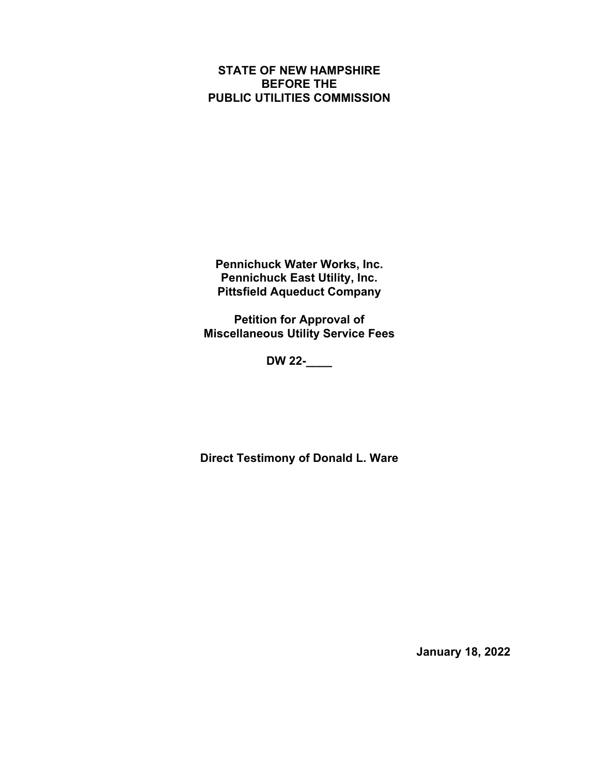### **STATE OF NEW HAMPSHIRE BEFORE THE PUBLIC UTILITIES COMMISSION**

**Pennichuck Water Works, Inc. Pennichuck East Utility, Inc. Pittsfield Aqueduct Company**

**Petition for Approval of Miscellaneous Utility Service Fees**

**DW 22-\_\_\_\_**

**Direct Testimony of Donald L. Ware** 

**January 18, 2022**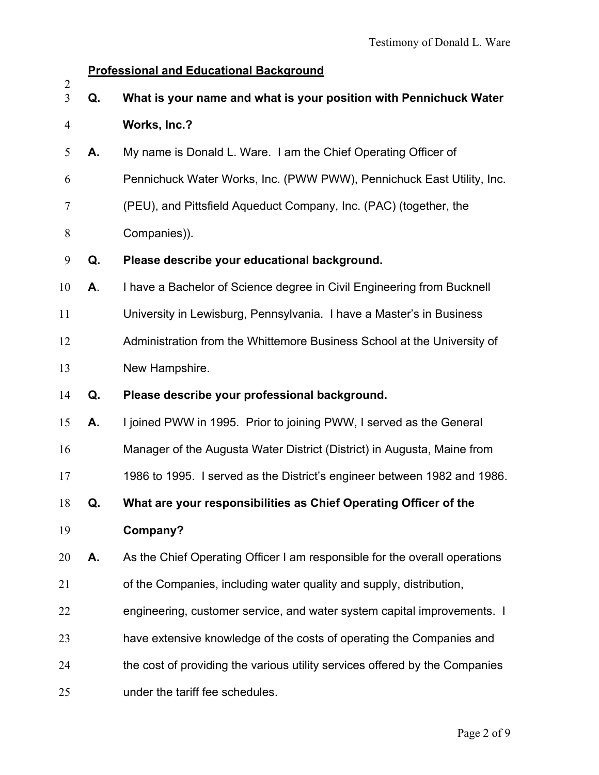# **Professional and Educational Background**

| What is your name and what is your position with Pennichuck Water           |
|-----------------------------------------------------------------------------|
| Works, Inc.?                                                                |
| My name is Donald L. Ware. I am the Chief Operating Officer of              |
| Pennichuck Water Works, Inc. (PWW PWW), Pennichuck East Utility, Inc.       |
| (PEU), and Pittsfield Aqueduct Company, Inc. (PAC) (together, the           |
| Companies)).                                                                |
| Please describe your educational background.                                |
| I have a Bachelor of Science degree in Civil Engineering from Bucknell      |
| University in Lewisburg, Pennsylvania. I have a Master's in Business        |
| Administration from the Whittemore Business School at the University of     |
| New Hampshire.                                                              |
| Please describe your professional background.                               |
| I joined PWW in 1995. Prior to joining PWW, I served as the General         |
| Manager of the Augusta Water District (District) in Augusta, Maine from     |
| 1986 to 1995. I served as the District's engineer between 1982 and 1986.    |
| What are your responsibilities as Chief Operating Officer of the            |
| Company?                                                                    |
| As the Chief Operating Officer I am responsible for the overall operations  |
| of the Companies, including water quality and supply, distribution,         |
| engineering, customer service, and water system capital improvements. I     |
| have extensive knowledge of the costs of operating the Companies and        |
| the cost of providing the various utility services offered by the Companies |
| under the tariff fee schedules.                                             |
|                                                                             |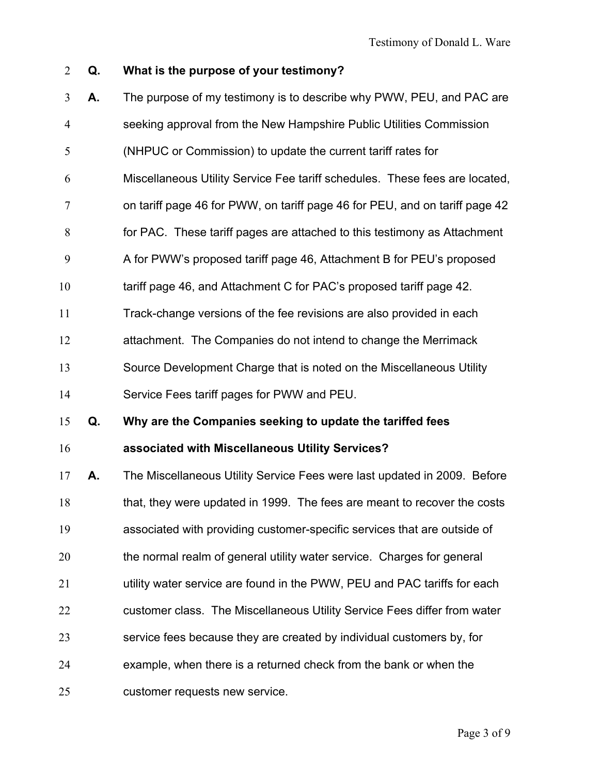# **Q. What is the purpose of your testimony?**

| $\mathfrak{Z}$ | А. | The purpose of my testimony is to describe why PWW, PEU, and PAC are        |
|----------------|----|-----------------------------------------------------------------------------|
| $\overline{4}$ |    | seeking approval from the New Hampshire Public Utilities Commission         |
| 5              |    | (NHPUC or Commission) to update the current tariff rates for                |
| 6              |    | Miscellaneous Utility Service Fee tariff schedules. These fees are located, |
| $\tau$         |    | on tariff page 46 for PWW, on tariff page 46 for PEU, and on tariff page 42 |
| 8              |    | for PAC. These tariff pages are attached to this testimony as Attachment    |
| 9              |    | A for PWW's proposed tariff page 46, Attachment B for PEU's proposed        |
| 10             |    | tariff page 46, and Attachment C for PAC's proposed tariff page 42.         |
| 11             |    | Track-change versions of the fee revisions are also provided in each        |
| 12             |    | attachment. The Companies do not intend to change the Merrimack             |
| 13             |    | Source Development Charge that is noted on the Miscellaneous Utility        |
| 14             |    | Service Fees tariff pages for PWW and PEU.                                  |
| 15             | Q. | Why are the Companies seeking to update the tariffed fees                   |
| 16             |    | associated with Miscellaneous Utility Services?                             |
| 17             | А. | The Miscellaneous Utility Service Fees were last updated in 2009. Before    |
| 18             |    | that, they were updated in 1999. The fees are meant to recover the costs    |
| 19             |    | associated with providing customer-specific services that are outside of    |
| 20             |    | the normal realm of general utility water service. Charges for general      |
| 21             |    |                                                                             |
|                |    | utility water service are found in the PWW, PEU and PAC tariffs for each    |
| 22             |    | customer class. The Miscellaneous Utility Service Fees differ from water    |
| 23             |    | service fees because they are created by individual customers by, for       |
| 24             |    | example, when there is a returned check from the bank or when the           |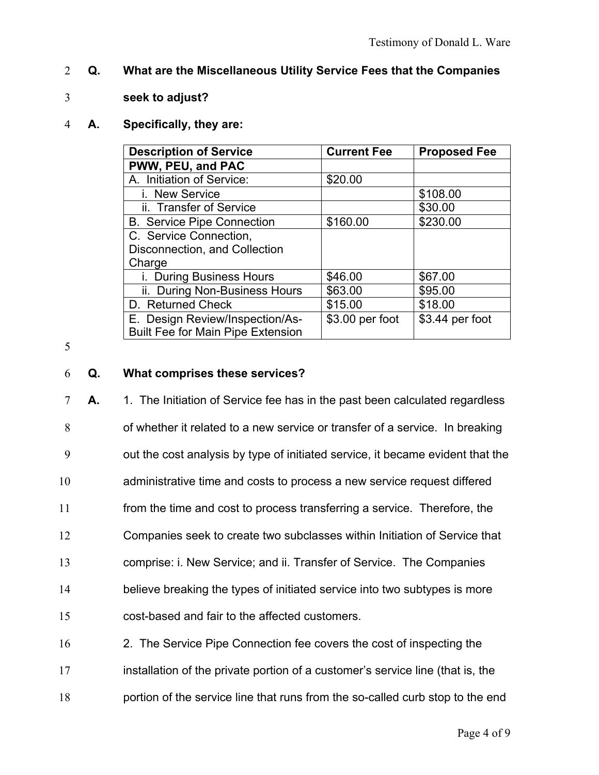- 2 **Q. What are the Miscellaneous Utility Service Fees that the Companies**
- 3 **seek to adjust?**
- 4 **A. Specifically, they are:**

| <b>Description of Service</b>            | <b>Current Fee</b> | <b>Proposed Fee</b> |
|------------------------------------------|--------------------|---------------------|
| PWW, PEU, and PAC                        |                    |                     |
| A. Initiation of Service:                | \$20.00            |                     |
| i. New Service                           |                    | \$108.00            |
| ii. Transfer of Service                  |                    | \$30.00             |
| <b>B.</b> Service Pipe Connection        | \$160.00           | \$230.00            |
| C. Service Connection,                   |                    |                     |
| Disconnection, and Collection            |                    |                     |
| Charge                                   |                    |                     |
| i. During Business Hours                 | \$46.00            | \$67.00             |
| ii. During Non-Business Hours            | \$63.00            | \$95.00             |
| D. Returned Check                        | \$15.00            | \$18.00             |
| E. Design Review/Inspection/As-          | \$3.00 per foot    | \$3.44 per foot     |
| <b>Built Fee for Main Pipe Extension</b> |                    |                     |

5

### 6 **Q. What comprises these services?**

**A.** 1. The Initiation of Service fee has in the past been calculated regardless of whether it related to a new service or transfer of a service. In breaking out the cost analysis by type of initiated service, it became evident that the administrative time and costs to process a new service request differed from the time and cost to process transferring a service. Therefore, the Companies seek to create two subclasses within Initiation of Service that comprise: i. New Service; and ii. Transfer of Service. The Companies believe breaking the types of initiated service into two subtypes is more cost-based and fair to the affected customers. 16 2. The Service Pipe Connection fee covers the cost of inspecting the installation of the private portion of a customer's service line (that is, the

18 portion of the service line that runs from the so-called curb stop to the end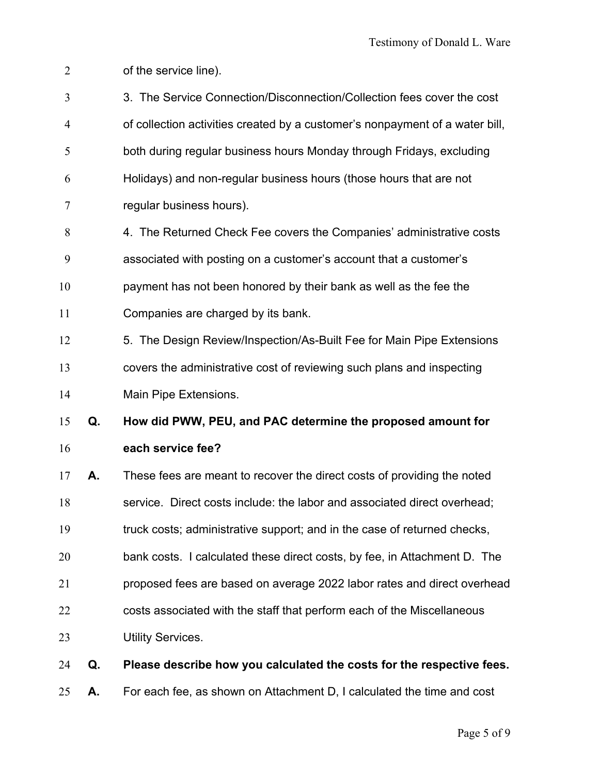3. The Service Connection/Disconnection/Collection fees cover the cost of collection activities created by a customer's nonpayment of a water bill, both during regular business hours Monday through Fridays, excluding Holidays) and non-regular business hours (those hours that are not regular business hours). 4. The Returned Check Fee covers the Companies' administrative costs associated with posting on a customer's account that a customer's payment has not been honored by their bank as well as the fee the Companies are charged by its bank. 12 5. The Design Review/Inspection/As-Built Fee for Main Pipe Extensions covers the administrative cost of reviewing such plans and inspecting Main Pipe Extensions. **Q. How did PWW, PEU, and PAC determine the proposed amount for each service fee? A.** These fees are meant to recover the direct costs of providing the noted service. Direct costs include: the labor and associated direct overhead; truck costs; administrative support; and in the case of returned checks, bank costs. I calculated these direct costs, by fee, in Attachment D. The proposed fees are based on average 2022 labor rates and direct overhead costs associated with the staff that perform each of the Miscellaneous 23 Utility Services. **Q. Please describe how you calculated the costs for the respective fees. A.** For each fee, as shown on Attachment D, I calculated the time and cost

of the service line).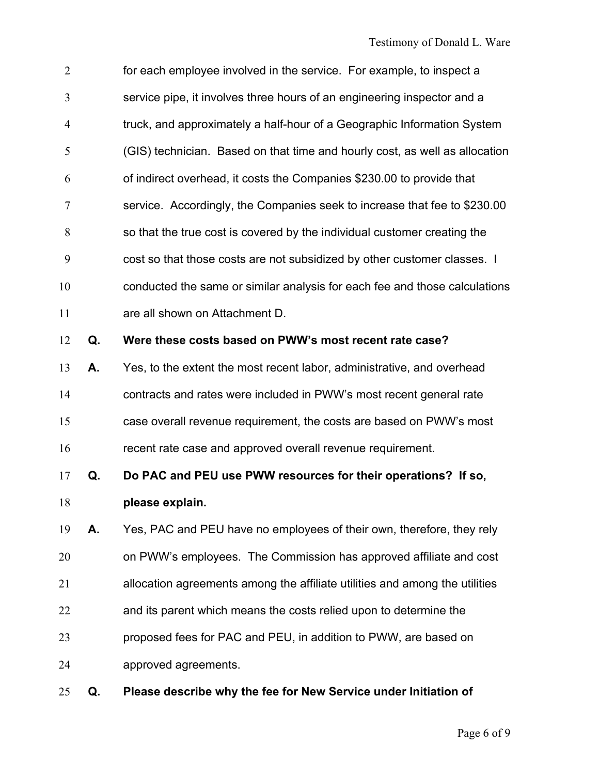| $\overline{2}$ |    | for each employee involved in the service. For example, to inspect a        |
|----------------|----|-----------------------------------------------------------------------------|
| 3              |    | service pipe, it involves three hours of an engineering inspector and a     |
| $\overline{4}$ |    | truck, and approximately a half-hour of a Geographic Information System     |
| 5              |    | (GIS) technician. Based on that time and hourly cost, as well as allocation |
| 6              |    | of indirect overhead, it costs the Companies \$230.00 to provide that       |
| 7              |    | service. Accordingly, the Companies seek to increase that fee to \$230.00   |
| 8              |    | so that the true cost is covered by the individual customer creating the    |
| 9              |    | cost so that those costs are not subsidized by other customer classes. I    |
| 10             |    | conducted the same or similar analysis for each fee and those calculations  |
| 11             |    | are all shown on Attachment D.                                              |
| 12             | Q. | Were these costs based on PWW's most recent rate case?                      |
| 13             | А. | Yes, to the extent the most recent labor, administrative, and overhead      |
| 14             |    | contracts and rates were included in PWW's most recent general rate         |
| 15             |    | case overall revenue requirement, the costs are based on PWW's most         |
| 16             |    | recent rate case and approved overall revenue requirement.                  |
| 17             | Q. | Do PAC and PEU use PWW resources for their operations? If so,               |
| 18             |    | please explain.                                                             |
| 19             | А. | Yes, PAC and PEU have no employees of their own, therefore, they rely       |
| 20             |    | on PWW's employees. The Commission has approved affiliate and cost          |
| 21             |    | allocation agreements among the affiliate utilities and among the utilities |
| 22             |    | and its parent which means the costs relied upon to determine the           |
| 23             |    | proposed fees for PAC and PEU, in addition to PWW, are based on             |
| 24             |    | approved agreements.                                                        |
| 25             | Q. | Please describe why the fee for New Service under Initiation of             |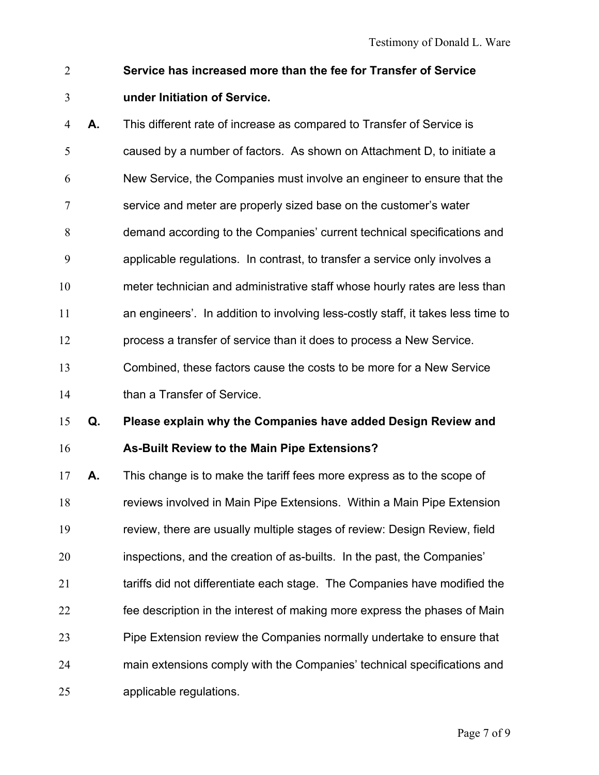## **Service has increased more than the fee for Transfer of Service**

**under Initiation of Service.**

 **A.** This different rate of increase as compared to Transfer of Service is caused by a number of factors. As shown on Attachment D, to initiate a New Service, the Companies must involve an engineer to ensure that the service and meter are properly sized base on the customer's water demand according to the Companies' current technical specifications and applicable regulations. In contrast, to transfer a service only involves a meter technician and administrative staff whose hourly rates are less than an engineers'. In addition to involving less-costly staff, it takes less time to process a transfer of service than it does to process a New Service. Combined, these factors cause the costs to be more for a New Service 14 than a Transfer of Service.

**Q. Please explain why the Companies have added Design Review and** 

**As-Built Review to the Main Pipe Extensions?**

 **A.** This change is to make the tariff fees more express as to the scope of reviews involved in Main Pipe Extensions. Within a Main Pipe Extension review, there are usually multiple stages of review: Design Review, field inspections, and the creation of as-builts. In the past, the Companies' tariffs did not differentiate each stage. The Companies have modified the fee description in the interest of making more express the phases of Main Pipe Extension review the Companies normally undertake to ensure that main extensions comply with the Companies' technical specifications and applicable regulations.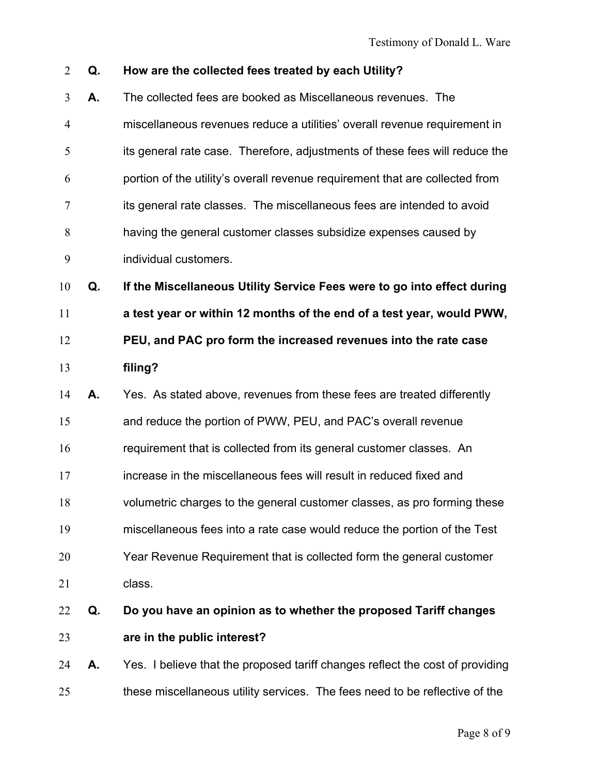| $\overline{2}$ | Q. | How are the collected fees treated by each Utility?                           |
|----------------|----|-------------------------------------------------------------------------------|
| 3              | А. | The collected fees are booked as Miscellaneous revenues. The                  |
| 4              |    | miscellaneous revenues reduce a utilities' overall revenue requirement in     |
| 5              |    | its general rate case. Therefore, adjustments of these fees will reduce the   |
| 6              |    | portion of the utility's overall revenue requirement that are collected from  |
| 7              |    | its general rate classes. The miscellaneous fees are intended to avoid        |
| 8              |    | having the general customer classes subsidize expenses caused by              |
| 9              |    | individual customers.                                                         |
| 10             | Q. | If the Miscellaneous Utility Service Fees were to go into effect during       |
| 11             |    | a test year or within 12 months of the end of a test year, would PWW,         |
| 12             |    | PEU, and PAC pro form the increased revenues into the rate case               |
| 13             |    | filing?                                                                       |
| 14             | А. | Yes. As stated above, revenues from these fees are treated differently        |
| 15             |    | and reduce the portion of PWW, PEU, and PAC's overall revenue                 |
| 16             |    | requirement that is collected from its general customer classes. An           |
| 17             |    | increase in the miscellaneous fees will result in reduced fixed and           |
| 18             |    | volumetric charges to the general customer classes, as pro forming these      |
| 19             |    | miscellaneous fees into a rate case would reduce the portion of the Test      |
| 20             |    | Year Revenue Requirement that is collected form the general customer          |
| 21             |    | class.                                                                        |
| 22             | Q. | Do you have an opinion as to whether the proposed Tariff changes              |
| 23             |    | are in the public interest?                                                   |
| 24             | А. | Yes. I believe that the proposed tariff changes reflect the cost of providing |
| 25             |    | these miscellaneous utility services. The fees need to be reflective of the   |